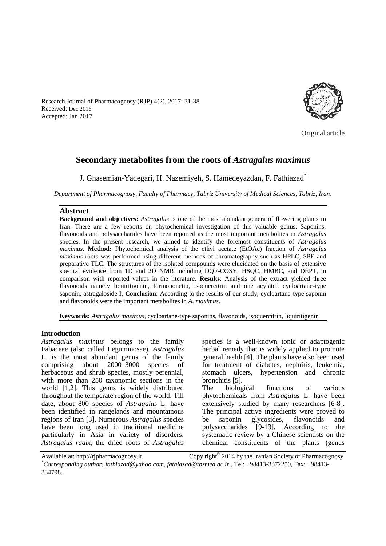

Research Journal of Pharmacognosy (RJP) 4(2), 2017: 31-38 Received: Dec 2016 Accepted: Jan 2017

Original article

# **Secondary metabolites from the roots of** *Astragalus maximus*

J. Ghasemian-Yadegari, H. Nazemiyeh, S. Hamedeyazdan, F. Fathiazad\*

*Department of Pharmacognosy, Faculty of Pharmacy, Tabriz University of Medical Sciences, Tabriz, Iran.*

#### **Abstract**

**Background and objectives:** *Astragalus* is one of the most abundant genera of flowering plants in Iran. There are a few reports on phytochemical investigation of this valuable genus. Saponins, flavonoids and polysaccharides have been reported as the most important metabolites in *Astragalus* species. In the present research, we aimed to identify the foremost constituents of *Astragalus maximus*. **Method:** Phytochemical analysis of the ethyl acetate (EtOAc) fraction of *Astragalus maximus* roots was performed using different methods of chromatography such as HPLC, SPE and preparative TLC. The structures of the isolated compounds were elucidated on the basis of extensive spectral evidence from 1D and 2D NMR including DQF-COSY, HSQC, HMBC, and DEPT, in comparison with reported values in the literature. **Results**: Analysis of the extract yielded three flavonoids namely liquiritigenin, formononetin, isoquercitrin and one acylated cycloartane-type saponin, astragaloside I. **Conclusion**: According to the results of our study, cycloartane-type saponin and flavonoids were the important metabolites in *A. maximus*.

**Keywords:** *Astragalus maximus*, cycloartane-type saponins, flavonoids, isoquercitrin, liquiritigenin

#### **Introduction**

*Astragalus maximus* belongs to the family Fabaceae (also called Leguminosae). *Astragalus*  L. is the most abundant genus of the family comprising about 2000–3000 species of herbaceous and shrub species, mostly perennial, with more than 250 taxonomic sections in the world [1,2]. This genus is widely distributed throughout the temperate region of the world. Till date, about 800 species of *Astragalus* L. have been identified in rangelands and mountainous regions of Iran [3]. Numerous *Astragalus* species have been long used in traditional medicine particularly in Asia in variety of disorders. *Astragalus radix*, the dried roots of *Astragalus*

species is a well-known tonic or adaptogenic herbal remedy that is widely applied to promote general health [4]. The plants have also been used for treatment of diabetes, nephritis, leukemia, stomach ulcers, hypertension and chronic bronchitis [5]. The biological functions of various phytochemicals from *Astragalus* L. have been

extensively studied by many researchers [6-8]. The principal active ingredients were proved to be saponin glycosides, flavonoids and polysaccharides [9-13]. According to the systematic review by a Chinese scientists on the chemical constituents of the plants (genus

Available at: http://rjpharmacognosy.ir

Copy right $^{\circ}$  2014 by the Iranian Society of Pharmacognosy

*\*Corresponding author: fathiazad@yahoo.com, fathiazad@tbzmed.ac.ir.,* Tel: +98413-3372250, Fax: +98413- 334798.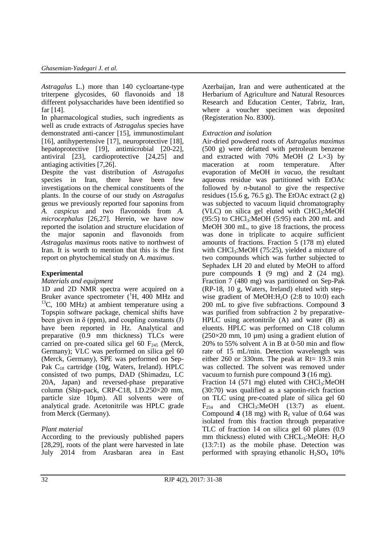*Astragalus* L.) more than 140 cycloartane-type triterpene glycosides, 60 flavonoids and 18 different polysaccharides have been identified so far [14].

In pharmacological studies, such ingredients as well as crude extracts of *Astragalus* species have demonstrated anti-cancer [15], immunostimulant [16], antihypertensive [17], neuroprotective [18], hepatoprotective [19], antimicrobial [20-22], antiviral [23], cardioprotective [24,25] and antiaging activities [7,26].

Despite the vast distribution of *Astragalus* species in Iran, there have been few investigations on the chemical constituents of the plants. In the course of our study on *Astragalus*  genus we previously reported four saponins from *A. caspicus* and two flavonoids from *A. microcephalus* [26,27]. Herein, we have now reported the isolation and structure elucidation of the major saponin and flavonoids from *Astragalus maximus* roots native to northwest of Iran. It is worth to mention that this is the first report on phytochemical study on *A. maximus*.

### **Experimental**

*Materials and equipment*

1D and 2D NMR spectra were acquired on a Bruker avance spectrometer  $({}^{1}H, 400$  MHz and  $13C$ , 100 MHz) at ambient temperature using a Topspin software package, chemical shifts have been given in  $\delta$  (ppm), and coupling constants (J) have been reported in Hz. Analytical and preparative (0.9 mm thickness) TLCs were carried on pre-coated silica gel 60  $F<sub>245</sub>$  (Merck, Germany); VLC was performed on silica gel 60 (Merck, Germany), SPE was performed on Sep-Pak C<sup>18</sup> cartridge (10g, Waters, Ireland). HPLC consisted of two pumps, DAD (Shimadzu, LC 20A, Japan) and reversed-phase preparative column (Ship-pack, CRP-C18, I.D.250×20 mm, particle size 10µm). All solvents were of analytical grade. Acetonitrile was HPLC grade from Merck (Germany).

# *Plant material*

According to the previously published papers [28,29], roots of the plant were harvested in late July 2014 from Arasbaran area in East

Azerbaijan, Iran and were authenticated at the Herbarium of Agriculture and Natural Resources Research and Education Center, Tabriz, Iran, where a voucher specimen was deposited (Registeration No. 8300).

### *Extraction and isolation*

Air-dried powdered roots of *Astragalus maximus*  (500 g) were defatted with petroleum benzene and extracted with 70% MeOH (2 L×3) by maceration at room temperature. After evaporation of MeOH *in vacuo*, the resultant aqueous residue was partitioned with EtOAc followed by *n*-butanol to give the respective residues (15.6 g, 76.5 g). The EtOAc extract (2 g) was subjected to vacuum liquid chromatography (VLC) on silica gel eluted with  $CHCl<sub>3</sub>:MeOH$  $(95:5)$  to CHCl<sub>3</sub>:MeOH  $(5:95)$  each 200 mL and MeOH 300 mL, to give 18 fractions, the process was done in triplicate to acquire sufficient amounts of fractions. Fraction 5 (178 m) eluted with CHCl<sub>3</sub>:MeOH (75:25), yielded a mixture of two compounds which was further subjected to Sephadex LH 20 and eluted by MeOH to afford pure compounds **1** (9 mg) and **2** (24 mg). Fraction 7 (480 mg) was partitioned on Sep-Pak (RP-18, 10 g, Waters, Ireland) eluted with stepwise gradient of MeOH: $H<sub>2</sub>O$  (2:8 to 10:0) each 200 mL to give five subfractions. Compound **3** was purified from subfraction 2 by preparative-HPLC using acetonitrile (A) and water (B) as eluents. HPLC was performed on C18 column  $(250\times20 \text{ mm}, 10 \text{ }\mu\text{m})$  using a gradient elution of 20% to 55% solvent A in B at 0-50 min and flow rate of 15 mL/min. Detection wavelength was either 260 or 330nm. The peak at Rt=  $19.3$  min was collected. The solvent was removed under vacuum to furnish pure compound **3** (16 mg). Fraction 14 (571 mg) eluted with  $CHCl<sub>3</sub>:MeOH$ (30:70) was qualified as a saponin-rich fraction on TLC using pre-coated plate of silica gel 60  $F<sub>254</sub>$  and CHCl<sub>3</sub>:MeOH (13:7) as eluent. Compound  $4$  (18 mg) with  $R_f$  value of 0.64 was isolated from this fraction through preparative TLC of fraction 14 on silica gel 60 plates (0.9 mm thickness) eluted with  $CHCL<sub>3</sub>:MeOH: H<sub>2</sub>O$ (13:7:1) as the mobile phase. Detection was performed with spraying ethanolic  $H_2SO_4$  10%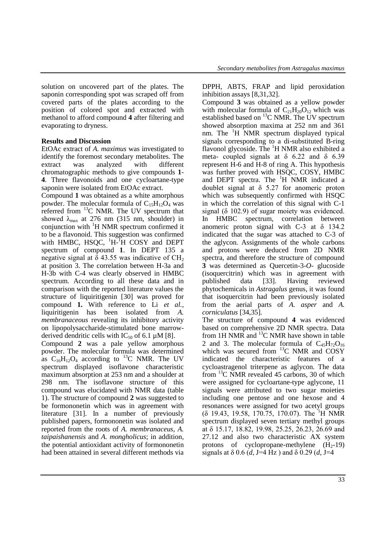solution on uncovered part of the plates. The saponin corresponding spot was scraped off from covered parts of the plates according to the position of colored spot and extracted with methanol to afford compound **4** after filtering and evaporating to dryness.

## **Results and Discussion**

EtOAc extract of *A. maximus* was investigated to identify the foremost secondary metabolites. The extract was analyzed with different chromatographic methods to give compounds **1**- **4**. Three flavonoids and one cycloartane-type saponin were isolated from EtOAc extract.

Compound **1** was obtained as a white amorphous powder. The molecular formula of  $C_{15}H_{12}O_4$  was referred from <sup>13</sup>C NMR. The UV spectrum that showed  $\lambda_{\text{max}}$  at 276 nm (315 nm, shoulder) in conjunction with <sup>1</sup>H NMR spectrum confirmed it to be a flavonoid. This suggestion was confirmed with HMBC, HSQC,  $H - H$ <sup>T</sup>H COSY and DEPT spectrum of compound **1**. In DEPT 135 a negative signal at  $\delta$  43.55 was indicative of CH<sub>2</sub> at position 3. The correlation between H-3a and H-3b with C-4 was clearly observed in HMBC spectrum. According to all these data and in comparison with the reported literature values the structure of liquiritigenin [30] was proved for compound **1.** With reference to Li *et al.*, liquiritigenin has been isolated from *A. membranaceous* revealing its inhibitory activity on lipopolysaccharide-stimulated bone marrowderived dendritic cells with  $IC_{50}$  of 6.1  $\mu$ M [8].

Compound **2** was a pale yellow amorphous powder. The molecular formula was determined as  $C_{16}H_{12}O_4$  according to <sup>13</sup>C NMR. The UV spectrum displayed isoflavone characteristic maximum absorption at 253 nm and a shoulder at 298 nm. The isoflavone structure of this compound was elucidated with NMR data (table 1). The structure of compound **2** was suggested to be formononetin which was in agreement with literature [31]. In a number of previously published papers, formononetin was isolated and reported from the roots of *A. membranaceus, A. taipaishanensis* and *A. mongholicus*; in addition, the potential antioxidant activity of formononetin had been attained in several different methods via DPPH, ABTS, FRAP and lipid peroxidation inhibition assays [8,31,32].

Compound **3** was obtained as a yellow powder with molecular formula of  $C_{21}H_{20}O_{12}$  which was established based on <sup>13</sup>C NMR. The UV spectrum showed absorption maxima at 252 nm and 361 nm. The <sup>1</sup>H NMR spectrum displayed typical signals corresponding to a di-substituted B-ring flavonol glycoside. The <sup>1</sup>H NMR also exhibited a meta- coupled signals at  $\delta$  6.22 and  $\delta$  6.39 represent H-6 and H-8 of ring A. This hypothesis was further proved with HSQC, COSY, HMBC and DEPT spectra. The <sup>1</sup>H NMR indicated a doublet signal at δ 5.27 for anomeric proton which was subsequently confirmed with HSQC in which the correlation of this signal with C-1 signal (δ 102.9) of sugar moiety was evidenced. In HMBC spectrum, correlation between anomeric proton signal with C-3 at  $\delta$  134.2 indicated that the sugar was attached to C-3 of the aglycon. Assignments of the whole carbons and protons were deduced from 2D NMR spectra, and therefore the structure of compound **3** was determined as Quercetin-3-*O*- glucoside (isoquercitrin) which was in agreement with published data [33]. Having reviewed phytochemicals in *Astragalus* genus*,* it was found that isoquercitrin had been previously isolated from the aerial parts of *A. asper* and *A. corniculatus* [34,35].

The structure of compound **4** was evidenced based on comprehensive 2D NMR spectra. Data from 1H NMR and  ${}^{13}$ C NMR have shown in table 2 and 3. The molecular formula of  $C_{45}H_{72}O_{16}$ which was secured from  $^{13}$ C NMR and COSY indicated the characteristic features of a cycloastragenol triterpene as aglycon. The data from <sup>13</sup>C NMR revealed 45 carbons, 30 of which were assigned for cycloartane-type aglycone, 11 signals were attributed to two sugar moieties including one pentose and one hexose and 4 resonances were assigned for two acetyl groups  $( \delta$  19.43, 19.58, 170.75, 170.07). The <sup>1</sup>H NMR spectrum displayed seven tertiary methyl groups at δ 15.17, 18.82, 19.98, 25.25, 26.23, 26.69 and 27.12 and also two characteristic AX system protons of cyclopropane-methylene  $(H_2-19)$ signals at  $\delta$  0.6 (*d*, J=4 Hz) and  $\delta$  0.29 (*d*, J=4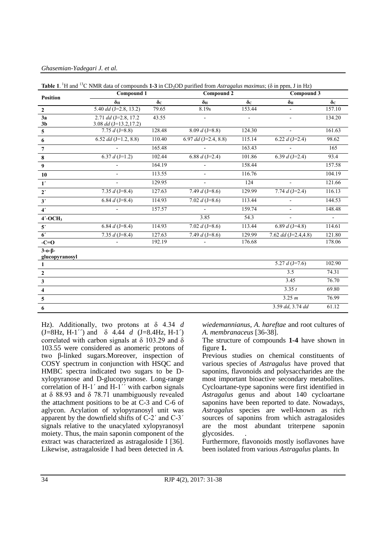*Ghasemian-Yadegari J. et al.*

| <b>Position</b>               | Compound 1               |                  | Compound 2             |                  | Compound 3               |                          |
|-------------------------------|--------------------------|------------------|------------------------|------------------|--------------------------|--------------------------|
|                               | $\delta_{\rm H}$         | $\delta_{\rm C}$ | $\delta_{\rm H}$       | $\delta_{\rm C}$ | $\delta_{\rm H}$         | $\delta_{\rm C}$         |
| $\mathbf{2}$                  | 5.40 $dd$ (J=2.8, 13.2)  | 79.65            | 8.19s                  | 153.44           | ä,                       | 157.10                   |
| 3a                            | 2.71 $dd$ (J=2.8, 17.2)  | 43.55            |                        |                  | $\overline{\phantom{a}}$ | 134.20                   |
| 3 <sub>b</sub>                | 3.08 $dd$ (J=13.2,17.2)  |                  |                        |                  |                          |                          |
| $5\phantom{.0}$               | 7.75 $d$ (J=8.8)         | 128.48           | 8.09 $d$ (J=8.8)       | 124.30           | $\overline{\phantom{a}}$ | 161.63                   |
| $\boldsymbol{6}$              | 6.52 $dd$ (J=1.2, 8.8)   | 110.40           | 6.97 $dd$ (J=2.4, 8.8) | 115.14           | 6.22 $d$ (J=2.4)         | 98.62                    |
| $\overline{7}$                |                          | 165.48           |                        | 163.43           |                          | 165                      |
| $\bf 8$                       | 6.37 $d$ (J=1.2)         | 102.44           | 6.88 $d$ (J=2.4)       | 101.86           | 6.39 $d$ (J=2.4)         | 93.4                     |
| $\boldsymbol{9}$              | $\overline{\phantom{a}}$ | 164.19           | $\bar{a}$              | 158.44           |                          | 157.58                   |
| 10                            |                          | 113.55           |                        | 116.76           |                          | 104.19                   |
| $1^{\prime}$                  |                          | 129.95           |                        | 124              |                          | 121.66                   |
| 2 <sup>r</sup>                | 7.35 $d$ (J=8.4)         | 127.63           | 7.49 $d$ (J=8.6)       | 129.99           | 7.74 $d$ (J=2.4)         | 116.13                   |
| 3'                            | 6.84 $d$ (J=8.4)         | 114.93           | 7.02 $d$ (J=8.6)       | 113.44           |                          | 144.53                   |
| 4 <sup>′</sup>                |                          | 157.57           |                        | 159.74           | $\bar{a}$                | 148.48                   |
| $4'$ -OCH <sub>3</sub>        |                          |                  | 3.85                   | 54.3             | $\overline{\phantom{a}}$ | $\overline{\phantom{a}}$ |
| 5 <sup>′</sup>                | 6.84 $d$ (J=8.4)         | 114.93           | 7.02 $d$ (J=8.6)       | 113.44           | 6.89 $d$ (J=4.8)         | 114.61                   |
| 6 <sup>′</sup>                | 7.35 $d$ (J=8.4)         | 127.63           | 7.49 $d$ (J=8.6)       | 129.99           | 7.62 $dd$ (J=2.4,4.8)    | 121.80                   |
| $-C=O$                        |                          | 192.19           |                        | 176.68           |                          | 178.06                   |
| $3 - 0 - 6$<br>glucopyranosyl |                          |                  |                        |                  |                          |                          |
| 1                             |                          |                  |                        |                  | 5.27 $d$ (J=7.6)         | 102.90                   |
| $\boldsymbol{2}$              |                          |                  |                        |                  | 3.5                      | 74.31                    |
| $\mathbf{3}$                  |                          |                  |                        |                  | 3.45                     | 76.70                    |
| $\overline{\mathbf{4}}$       |                          |                  |                        |                  | 3.35 t                   | 69.80                    |
| $\overline{5}$                |                          |                  |                        |                  | 3.25 m                   | 76.99                    |
| 6                             |                          |                  |                        |                  | 3.59 dd, 3.74 dd         | 61.12                    |

**Table 1**. <sup>1</sup>H and <sup>13</sup>C NMR data of compounds **1-3** in CD3OD purified from *Astragalus maximus*; (δ in ppm, J in Hz)

Hz). Additionally, two protons at δ 4.34 *d*  $(J=8Hz, H-1'')$  and  $\delta$  4.44 *d*  $(J=8.4Hz, H-1')$ correlated with carbon signals at  $\delta$  103.29 and  $\delta$ 103.55 were considered as anomeric protons of two β-linked sugars.Moreover, inspection of COSY spectrum in conjunction with HSQC and HMBC spectra indicated two sugars to be Dxylopyranose and D-glucopyranose. Long-range correlation of H-1΄ and H-1΄΄ with carbon signals at δ 88.93 and δ 78.71 unambiguously revealed the attachment positions to be at C-3 and C-6 of aglycon. Acylation of xylopyranosyl unit was apparent by the downfield shifts of C-2΄ and C-3΄ signals relative to the unacylated xylopyranosyl moiety. Thus, the main saponin component of the extract was characterized as astragaloside I [36]. Likewise, astragaloside I had been detected in *A.*  *wiedemannianus*, *A. hareftae* and root cultures of *A. membranaceus* [36-38].

The structure of compounds **1-4** have shown in figure **1.** 

Previous studies on chemical constituents of various species of *Astragalus* have proved that saponins, flavonoids and polysaccharides are the most important bioactive secondary metabolites. Cycloartane-type saponins were first identified in *Astragalus* genus and about 140 cycloartane saponins have been reported to date. Nowadays, *Astragalus* species are well-known as rich sources of saponins from which astragalosides are the most abundant triterpene saponin glycosides. .

Furthermore, flavonoids mostly isoflavones have been isolated from various *Astragalus* plants. In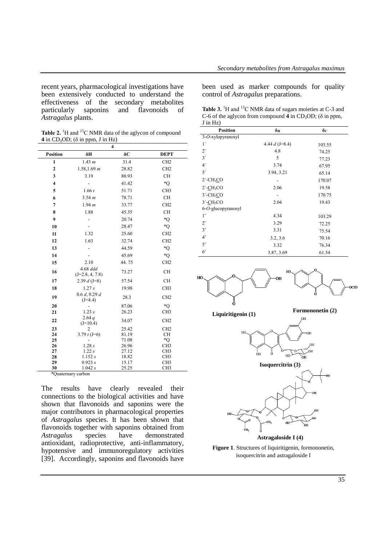recent years, pharmacological investigations have been extensively conducted to understand the effectiveness of the secondary metabolites particularly saponins and flavonoids of *Astragalus* plants.

Table 2.<sup>1</sup>H and <sup>13</sup>C NMR data of the aglycon of compound **4** in CD<sub>3</sub>OD; ( $\delta$  in ppm, J in Hz)

| $\overline{\bf{4}}$ |                               |                |                 |  |  |
|---------------------|-------------------------------|----------------|-----------------|--|--|
| Position            | δH                            | δC             | <b>DEPT</b>     |  |  |
| $\mathbf{1}$        | 1.43 m                        | 31.4           | CH <sub>2</sub> |  |  |
| $\overline{2}$      | 1.58, 1.69 m                  | 28.82          | CH <sub>2</sub> |  |  |
| 3                   | 3.19                          | 88.93          | <b>CH</b>       |  |  |
| $\overline{4}$      |                               | 41.42          | *Q              |  |  |
| 5                   | 1.66 t                        | 51.71          | CH <sub>3</sub> |  |  |
| 6                   | 3.54 m                        | 78.71          | <b>CH</b>       |  |  |
| 7                   | 1.94 m                        | 33.77          | CH <sub>2</sub> |  |  |
| 8                   | 1.88                          | 45.35          | <b>CH</b>       |  |  |
| 9                   |                               | 20.74          | *Q              |  |  |
| 10                  |                               | 28.47          | $^*$ O          |  |  |
| 11                  | 1.32                          | 25.60          | CH <sub>2</sub> |  |  |
| 12                  | 1.63                          | 32.74          | CH <sub>2</sub> |  |  |
| 13                  |                               | 44.59          | $^*$ O          |  |  |
| 14                  |                               | 45.69          | *Q              |  |  |
| 15                  | 2.10                          | 44.75          | CH <sub>2</sub> |  |  |
| 16                  | 4.68 ddd<br>$(J=2.8, 4, 7.8)$ | 73.27          | <b>CH</b>       |  |  |
| 17                  | 2.39 $d$ (J=8)                | 57.54          | <b>CH</b>       |  |  |
| 18                  | 1.27 s                        | 19.98          | CH <sub>3</sub> |  |  |
| 19                  | 0.6 d, 0.29 d<br>$(J=4.4)$    | 28.3           | CH <sub>2</sub> |  |  |
| 20                  |                               | 87.06          | *Q              |  |  |
| 21                  | 1.23 s                        | 26.23          | CH <sub>3</sub> |  |  |
| 22                  | 2.64q<br>$(J=10.4)$           | 34.07          | CH <sub>2</sub> |  |  |
| 23                  | 2                             | 25.42          | CH <sub>2</sub> |  |  |
| 24<br>25            | 3.79 $t$ (J=6)                | 81.19<br>71.08 | <b>CH</b><br>*Q |  |  |
| 26                  | 1.28s                         | 26.96          | CH <sub>3</sub> |  |  |
| 27                  | 1.22s                         | 27.12          | CH <sub>3</sub> |  |  |
| 28                  | 1.152 s                       | 18.82          | CH <sub>3</sub> |  |  |
| 29                  | 0.923 s                       | 15.17          | CH <sub>3</sub> |  |  |
| 30                  | 1.042 s                       | 25.25          | CH <sub>3</sub> |  |  |

\*Quaternary carbon

The results have clearly revealed their connections to the biological activities and have shown that flavonoids and saponins were the major contributors in pharmacological properties of *Astragalus* species. It has been shown that flavonoids together with saponins obtained from *Astragalus* species have demonstrated antioxidant, radioprotective, anti-inflammatory, hypotensive and immunoregulatory activities [39]. Accordingly, saponins and flavonoids have

been used as marker compounds for quality control of *Astragalus* preparations.

Table 3.<sup>1</sup>H and <sup>13</sup>C NMR data of sugars moieties at C-3 and C-6 of the aglycon from compound  $4$  in CD<sub>3</sub>OD; ( $\delta$  in ppm, J in Hz)

| <b>Position</b>          | $\delta_{\rm H}$ | $\delta_{\rm C}$ |  |
|--------------------------|------------------|------------------|--|
| 3-O-xylopyranosyl        |                  |                  |  |
| $1^{\prime}$             | 4.44 $d$ (J=8.4) | 103.55           |  |
| 2 <sup>′</sup>           | 4.8              | 74.25            |  |
| 3'                       | 5                | 77.23            |  |
| 4 <sup>′</sup>           | 3.74             | 67.95            |  |
| 5'                       | 3.94, 3.21       | 65.14            |  |
| $2'$ -CH <sub>3</sub> CO |                  | 170.07           |  |
| $2'$ -CH <sub>3</sub> CO | 2.06             | 19.58            |  |
| $3'-CH3CO$               |                  | 170.75           |  |
| $3'-CH3CO$               | 2.04             | 19.43            |  |
| 6-O-glucopyranosyl       |                  |                  |  |
| $1^{\prime\prime}$       | 4.34             | 103.29           |  |
| 2"                       | 3.29             | 72.25            |  |
| 3"                       | 3.31             | 75.54            |  |
| 4 <sup>''</sup>          | 3.2, 3.6         | 70.16            |  |
| 5"                       | 3.32             | 76.34            |  |
| 6"                       | 3.87, 3.69       | 61.54            |  |



**Liquiritigenin (1) Formononetin (2)**



**Astragaloside I (4)**

**Figure 1**. Structures of liquiritigenin, formononetin, isoquercitrin and astragaloside I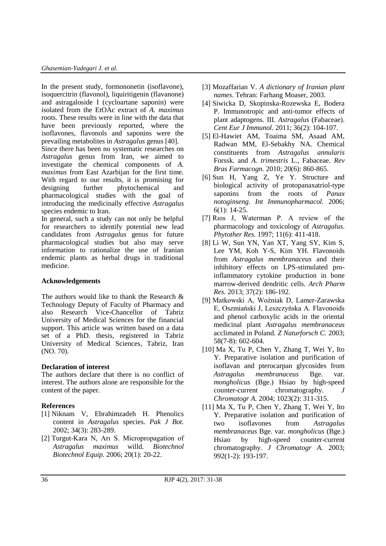In the present study, formononetin (isoflavone), isoquercitrin (flavonol), liquiritigenin (flavanone) and astragaloside I (cycloartane saponin) were isolated from the EtOAc extract of *A. maximus* roots. These results were in line with the data that have been previously reported, where the isoflavones, flavonols and saponins were the prevailing metabolites in *Astragalus* genus [40].

Since there has been no systematic researches on *Astragalus* genus from Iran, we aimed to investigate the chemical components of *A. maximus* from East Azarbijan for the first time. With regard to our results, it is promising for designing further phytochemical and pharmacological studies with the goal of introducing the medicinally effective *Astragalus* species endemic to Iran.

In general, such a study can not only be helpful for researchers to identify potential new lead candidates from *Astragalus* genus for future pharmacological studies but also may serve information to rationalize the use of Iranian endemic plants as herbal drugs in traditional medicine.

#### **Acknowledgements**

The authors would like to thank the Research & Technology Deputy of Faculty of Pharmacy and also Research Vice-Chancellor of Tabriz University of Medical Sciences for the financial support. This article was written based on a data set of a PhD. thesis, registered in Tabriz University of Medical Sciences, Tabriz, Iran (NO. 70).

### **Declaration of interest**

The authors declare that there is no conflict of interest. The authors alone are responsible for the content of the paper.

#### **References**

- [1] Niknam V, Ebrahimzadeh H. Phenolics content in *Astragalus* species. *Pak J Bot.*  2002; 34(3): 283-289.
- [2] Turgut-Kara N, Arı S. Micropropagation of *Astragalus maximus* willd. *Biotechnol Biotechnol Equip.* 2006; 20(1): 20-22.
- [3] Mozaffarian V. *A dictionary of Iranian plant names*. Tehran: Farhang Moaser, 2003.
- [4] Siwicka D, Skopinska-Rozewska E, Bodera P. Immunotropic and anti-tumor effects of plant adaptogens. III. *Astragalus* (Fabaceae). *Cent Eur J Immunol.* 2011; 36(2): 104-107.
- [5] El-Hawiet AM, Toaima SM, Asaad AM, Radwan MM, El-Sebakhy NA. Chemical constituents from *Astragalus annularis*  Forssk. and *A. trimestris* L., Fabaceae. *Rev Bras Farmacogn.* 2010; 20(6): 860-865.
- [6] Sun H, Yang Z, Ye Y. Structure and biological activity of protopanaxatriol-type saponins from the roots of *Panax notoginseng*. *Int Immunopharmacol.* 2006; 6(1): 14-25.
- [7] Rıos J, Waterman P. A review of the pharmacology and toxicology of *Astragalus*. *Phytother Res.* 1997; 11(6): 411-418.
- [8] Li W, Sun YN, Yan XT, Yang SY, Kim S, Lee YM, Koh Y-S, Kim YH. Flavonoids from *Astragalus membranaceus* and their inhibitory effects on LPS-stimulated proinflammatory cytokine production in bone marrow-derived dendritic cells. *Arch Pharm Res.* 2013; 37(2): 186-192.
- [9] Matkowski A, Woźniak D, Lamer-Zarawska E, Oszmiański J, Leszczyńska A. Flavonoids and phenol carboxylic acids in the oriental medicinal plant *Astragalus membranaceus* acclimated in Poland. *Z Naturforsch C.* 2003; 58(7-8): 602-604.
- [10] Ma X, Tu P, Chen Y, Zhang T, Wei Y, Ito Y. Preparative isolation and purification of isoflavan and pterocarpan glycosides from *Astragalus membranaceus* Bge. var. *mongholicus* (Bge.) Hsiao by high-speed counter-current chromatography. *J Chromatogr A.* 2004; 1023(2): 311-315.
- [11] Ma X, Tu P, Chen Y, Zhang T, Wei Y, Ito Y. Preparative isolation and purification of two isoflavones from *Astragalus membranaceus* Bge. var. *mongholicus* (Bge.) Hsiao by high-speed counter-current chromatography. *J Chromatogr A.* 2003; 992(1-2): 193-197.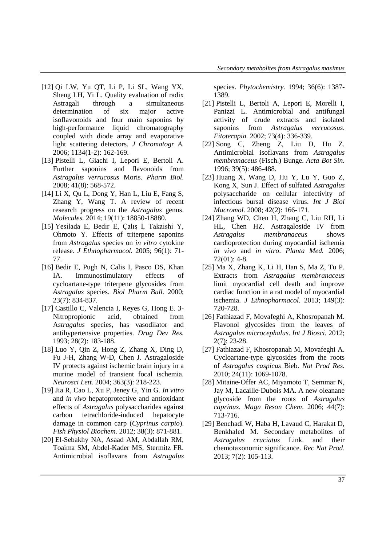- [12] Qi LW, Yu QT, Li P, Li SL, Wang YX, Sheng LH, Yi L. Quality evaluation of radix Astragali through a simultaneous determination of six major active isoflavonoids and four main saponins by high-performance liquid chromatography coupled with diode array and evaporative light scattering detectors. *J Chromatogr A.*  2006; 1134(1-2): 162-169.
- [13] Pistelli L, Giachi I, Lepori E, Bertoli A. Further saponins and flavonoids from *Astragalus verrucosus* Moris. *Pharm Biol.*  2008; 41(8): 568-572.
- [14] Li X, Qu L, Dong Y, Han L, Liu E, Fang S, Zhang Y, Wang T. A review of recent research progress on the *Astragalus* genus. *Molecules.* 2014; 19(11): 18850-18880.
- [15] Yesilada E, Bedir E, Çalış İ, Takaishi Y, Ohmoto Y. Effects of triterpene saponins from *Astragalus* species on *in vitro* cytokine release. *J Ethnopharmacol.* 2005; 96(1): 71- 77.
- [16] Bedir E, Pugh N, Calis I, Pasco DS, Khan IA. Immunostimulatory effects of cycloartane-type triterpene glycosides from *Astragalus* species. *Biol Pharm Bull.* 2000; 23(7): 834-837.
- [17] Castillo C, Valencia I, Reyes G, Hong E. 3- Nitropropionic acid, obtained from A*stragalus* species, has vasodilator and antihypertensive properties. *Drug Dev Res.*  1993; 28(2): 183-188.
- [18] Luo Y, Qin Z, Hong Z, Zhang X, Ding D, Fu J-H, Zhang W-D, Chen J. Astragaloside IV protects against ischemic brain injury in a murine model of transient focal ischemia. *Neurosci Lett.* 2004; 363(3): 218-223.
- [19] Jia R, Cao L, Xu P, Jeney G, Yin G. *In vitro* and *in vivo* hepatoprotective and antioxidant effects of *Astragalus* polysaccharides against carbon tetrachloride-induced hepatocyte damage in common carp (*Cyprinus carpio*). *Fish Physiol Biochem.* 2012; 38(3): 871-881.
- [20] El-Sebakhy NA, Asaad AM, Abdallah RM, Toaima SM, Abdel-Kader MS, Stermitz FR. Antimicrobial isoflavans from *Astragalus*

species. *Phytochemistry.* 1994; 36(6): 1387- 1389.

- [21] Pistelli L, Bertoli A, Lepori E, Morelli I, Panizzi L. Antimicrobial and antifungal activity of crude extracts and isolated saponins from *Astragalus verrucosus*. *Fitoterapia.* 2002; 73(4): 336-339.
- [22] Song C, Zheng Z, Liu D, Hu Z. Antimicrobial isoflavans from *Astragalus membranaceus* (Fisch.) Bunge. *Acta Bot Sin.*  1996; 39(5): 486-488.
- [23] Huang X, Wang D, Hu Y, Lu Y, Guo Z, Kong X, Sun J. Effect of sulfated *Astragalus* polysaccharide on cellular infectivity of infectious bursal disease virus. *Int J Biol Macromol.* 2008; 42(2): 166-171.
- [24] Zhang WD, Chen H, Zhang C, Liu RH, Li HL, Chen HZ. Astragaloside IV from *Astragalus membranaceus* shows cardioprotection during myocardial ischemia *in vivo* and *in vitro*. *Planta Med.* 2006; 72(01): 4-8.
- [25] Ma X, Zhang K, Li H, Han S, Ma Z, Tu P. Extracts from *Astragalus membranaceus* limit myocardial cell death and improve cardiac function in a rat model of myocardial ischemia. *J Ethnopharmacol.* 2013; 149(3): 720-728.
- [26] Fathiazad F, Movafeghi A, Khosropanah M. Flavonol glycosides from the leaves of *Astragalus microcephalus*. *Int J Biosci.* 2012; 2(7): 23-28.
- [27] Fathiazad F, Khosropanah M, Movafeghi A. Cycloartane-type glycosides from the roots of *Astragalus caspicus* Bieb. *Nat Prod Res.*  2010; 24(11): 1069-1078.
- [28] Mitaine-Offer AC, Miyamoto T, Semmar N, Jay M, Lacaille‐Dubois MA. A new oleanane glycoside from the roots of *Astragalus caprinus*. *Magn Reson Chem*. 2006; 44(7): 713-716.
- [29] Benchadi W, Haba H, Lavaud C, Harakat D, Benkhaled M. Secondary metabolites of *Astragalus cruciatus* Link. and their chemotaxonomic significance*. Rec Nat Prod*. 2013; 7(2): 105-113.